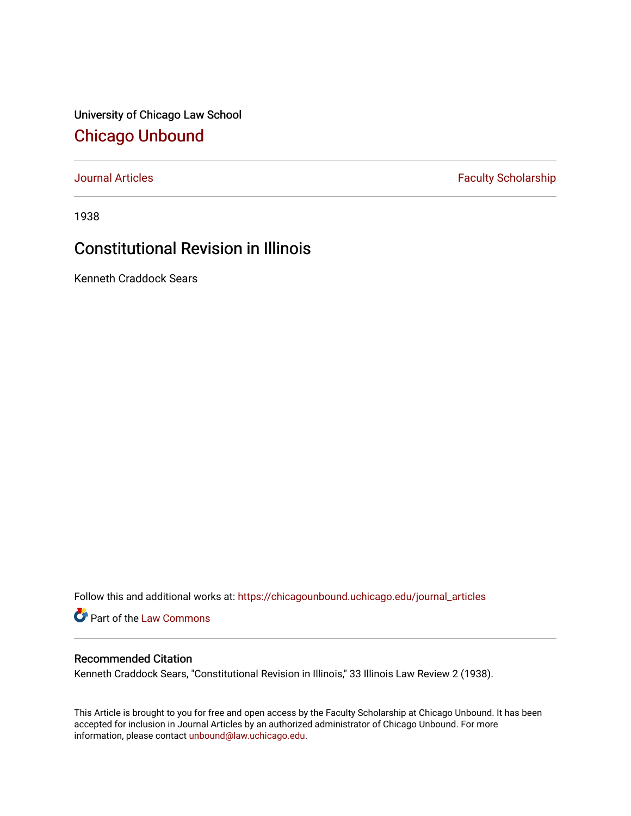University of Chicago Law School [Chicago Unbound](https://chicagounbound.uchicago.edu/)

[Journal Articles](https://chicagounbound.uchicago.edu/journal_articles) **Faculty Scholarship Faculty Scholarship** 

1938

# Constitutional Revision in Illinois

Kenneth Craddock Sears

Follow this and additional works at: [https://chicagounbound.uchicago.edu/journal\\_articles](https://chicagounbound.uchicago.edu/journal_articles?utm_source=chicagounbound.uchicago.edu%2Fjournal_articles%2F9032&utm_medium=PDF&utm_campaign=PDFCoverPages) 

Part of the [Law Commons](http://network.bepress.com/hgg/discipline/578?utm_source=chicagounbound.uchicago.edu%2Fjournal_articles%2F9032&utm_medium=PDF&utm_campaign=PDFCoverPages)

# Recommended Citation

Kenneth Craddock Sears, "Constitutional Revision in Illinois," 33 Illinois Law Review 2 (1938).

This Article is brought to you for free and open access by the Faculty Scholarship at Chicago Unbound. It has been accepted for inclusion in Journal Articles by an authorized administrator of Chicago Unbound. For more information, please contact [unbound@law.uchicago.edu](mailto:unbound@law.uchicago.edu).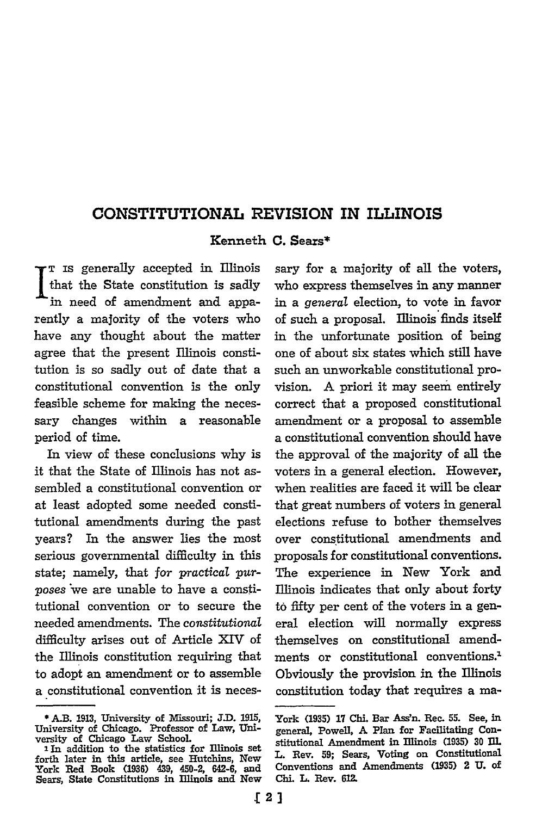# **CONSTITUTIONAL REVISION IN ILLINOIS**

## **Kenneth C. Sears\***

 $\mathsf{r}\, \mathsf{\scriptscriptstyle{T}}\,$  is generally accepted in Illinois that the State constitution is sadly in need of amendment and apparently a majority of the voters who have any thought about the matter agree that the present Illinois constitution is so sadly out of date that a constitutional convention is the only feasible scheme for making the necessary changes within a reasonable period of time.

In view of these conclusions why is it that the State of Illinois has not assembled a constitutional convention or at least adopted some needed constitutional amendments during the past years? In the answer lies the most serious governmental difficulty in this state; namely, that for practical pur*poses* \*we are unable to have a constitutional convention or to secure the needed amendments. The *constitutional* difficulty arises out of Article XIV of the Illinois constitution requiring that to adopt an amendment or to assemble a constitutional convention it is necessary for a majority of all the voters, who express themselves in any manner in a *general* election, to vote in favor of such a proposal. Illinois finds itself in the unfortunate position of being one of about six states which still have such an unworkable constitutional provision. A priori it may seem entirely correct that a proposed constitutional amendment or a proposal to assemble a constitutional convention should have the approval of the majority of all the voters in a general election. However, when realities are faced it will be clear that great numbers of voters in general elections refuse to bother themselves over constitutional amendments and proposals for constitutional conventions. The experience in New York and Illinois indicates that only about forty to fifty per cent of the voters in a general election will normally express themselves on constitutional amendments or constitutional conventions.' Obviously the provision in the Illinois constitution today that requires a ma-

**<sup>\*</sup>AB. 1913,** University of Aissouri; **JD. 1915,** University of Chicago. Professor of Law, University of Chicago Law School.

<sup>2</sup> In addition to the statistics for Illinois set forth later in this article, see Hutchins, New York **Red** Book **(1936)** 439, 450-2, 642-6, and Sears, State Constitutions in Illinois and New

York **(1935)** 17 **ChL** Bar Assn. Rec. **55.** See, in general, Powell, **A** Plan for Facilitating Constitutional Amendment in Ilinois **(1935) 30** Dl L. Rev. **59;** Sears, Voting on Constitutional Conventions and Amendments **(1935)** 2 **U. of ChLi. L.** Rev. **612.**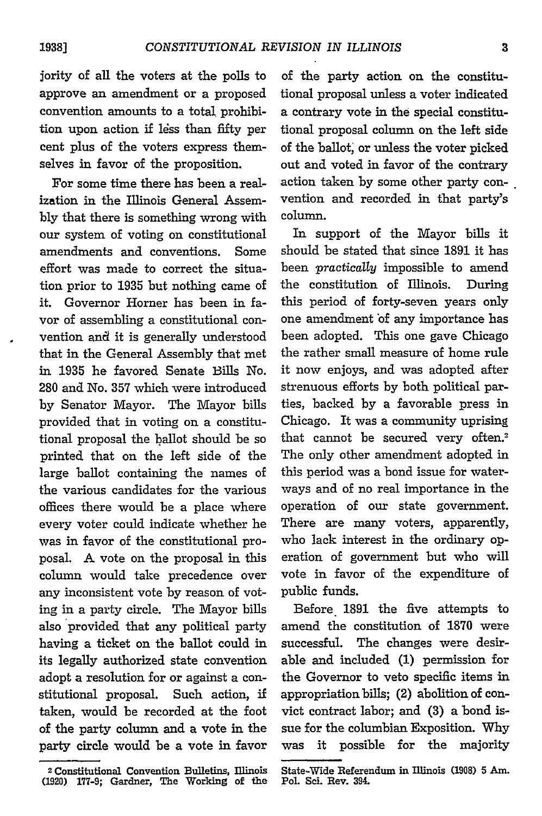jority of all the voters at the polls to approve an amendment or a proposed convention amounts to a total prohibition upon action if 14ss than **fifty** per cent plus of the voters express themselves in favor of the proposition.

For some time there has been a realization in the Illinois General Assem**bly** that there is something wrong with our system of voting on constitutional amendments and conventions. Some effort was made to correct the situation prior to 1935 but nothing came of it. Governor Homer has been in favor of assembling a constitutional convention and it is generally understood that in the General Assembly that met in 1935 he favored Senate Bills No. 280 and No. **357** which were introduced by Senator Mayor. The Mayor bills provided that in voting on a constitutional proposal the ballot should be so printed that on the left side of the large ballot containing the names of the various candidates for the various offices there would be a place where every voter could indicate whether he was in favor of the constitutional proposal. A vote on the proposal in this column would take precedence over any inconsistent vote by reason of voting in a party circle. The Mayor bills also provided that any political party having a ticket on the ballot could in its legally authorized state convention adopt a resolution for or against a constitutional proposal. Such action, if taken, would be recorded at the foot of the party column and a vote in the party circle would be a vote in favor

of the party action on the constitutional proposal unless a voter indicated a contrary vote in the special constitutional proposal column on the left side of the ballot, or unless the voter picked out and voted in favor of the contrary action taken by some other party convention and recorded in that party's column.

In support of the Mayor bills it should be stated that since **1891** it has been *practically* impossible to amend the constitution of Illinois. During this period of forty-seven years only one amendment of any importance has been adopted. This one gave Chicago the rather small measure of home rule it now enjoys, and was adopted after strenuous efforts by both political parties, backed by a favorable press in Chicago. It was a community uprising that cannot be secured very often.<sup>2</sup> The only other amendment adopted in this period was a bond issue for waterways and of no real importance in the operation of our state government. There are many voters, apparently, who lack interest in the ordinary operation of government but who will vote in favor of the expenditure of public funds.

Before **1891** the five attempts to amend the constitution of 1870 were successful. The changes were desirable and included (1) permission for the Governor to veto specific items in appropriation bills; (2) abolition of convict contract labor; and (3) a bond issue for the columbian Exposition. Why was it possible for the majority

<sup>2</sup> **Constitutional Convention Bulletins, Illinois (1920) 177-9; Gardner, The Working of the**

State-Wide **Referendum in Illinois (1908) 5 Am. Pol Sei. Rev. 394.**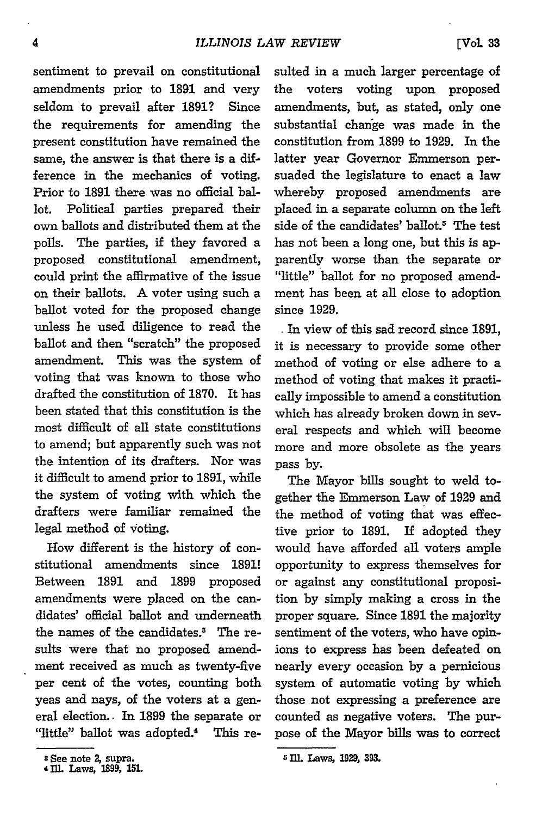sentiment to prevail on constitutional amendments prior to **1891** and very seldom to prevail after **1891?** Since the requirements for amending the present constitution have remained the same, the answer is that there is a difference in the mechanics of voting. Prior to **1891** there was no official ballot. Political parties prepared their own ballots and distributed them at the polls. The parties, if they favored a proposed constitutional amendment, could print the affirmative of the issue on their ballots. A voter using such a ballot voted for the proposed change unless he used diligence to read the ballot and then "scratch" the proposed amendment. This was the system of voting that was known to those who drafted the constitution of 1870. It has been stated that this constitution is the most difficult of all state constitutions to amend; but apparently such was not the intention of its drafters. Nor was it difficult to amend prior to 1891, while the system of voting with which the drafters were familiar remained the legal method of voting.

How different is the history of constitutional amendments since 1891! Between 1891 and 1899 proposed amendments were placed on the candidates' official ballot and underneath the names of the candidates.<sup>3</sup> The results were that no proposed amendment received as much as twenty-five per cent of the votes, counting both yeas and nays, of the voters at a general election. - In 1899 the separate or "little" ballot was adopted.<sup>4</sup> This resuited in a much larger percentage of the voters voting upon proposed amendments, but, as stated, only one substantial change was made in the constitution from 1899 to 1929. In the latter year Governor Emmerson persuaded the legislature to enact a law whereby proposed amendments are placed in a separate column on the left side of the candidates' ballot.<sup>5</sup> The test has not been a long one, but this is apparently worse than the separate or "little" ballot for no proposed amendment has been at all close to adoption since 1929.

In view of this sad record since **1891,** it is necessary to provide some other method of voting or else adhere to a method of voting that makes it practically impossible to amend a constitution which has already broken down in several respects and which will become more and more obsolete as the years pass **by.**

The Mayor bills sought to weld together the Emmerson Law of 1929 and the method of voting that was effective prior to 1891. If adopted they would have afforded all voters ample opportunity to express themselves for or against any constitutional proposition by simply making a cross in the proper square. Since 1891 the majority sentiment of the voters, who have opinions to express has been defeated on nearly every occasion by a pernicious system of automatic voting by which those not expressing a preference are counted as negative voters. The purpose of the Mayor bills was to correct

**<sup>3</sup> See note** *2,* **supra.**

<sup>4</sup>iIL **Laws 1899, 15L**

**<sup>5</sup> I. Laws, 129, 393.**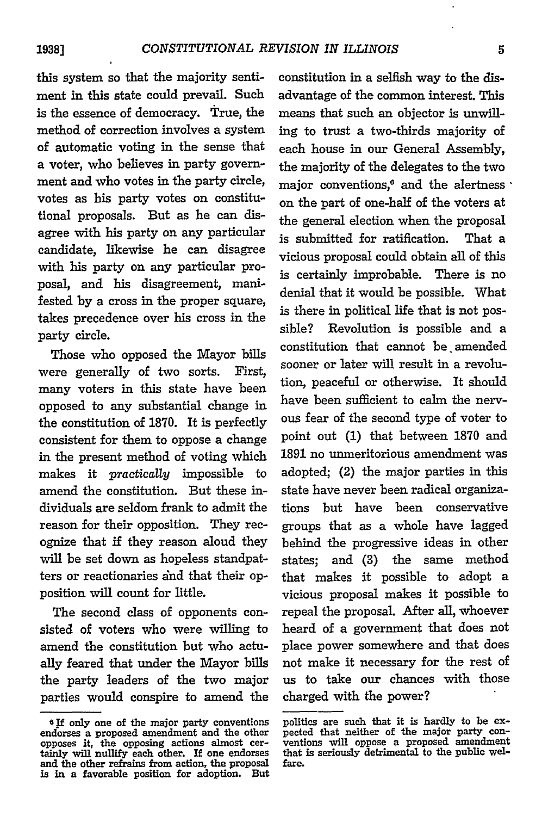this system so that the majority sentiment in this state could prevail. Such is the essence of democracy. True, the method of correction involves a system of automatic voting in the sense that a voter, who believes in party government and who votes in the party circle, votes as his party votes on constitutional proposals. But as he can disagree with his party on any particular candidate, likewise he can disagree with his party on any particular proposal, and his disagreement, manifested by a cross in the proper square, takes precedence over his cross in the party circle.

Those who opposed the Mayor bills were generally of two sorts. First, many voters in this state have been opposed to any substantial change in the constitution of **1870.** It is perfectly consistent for them to oppose a change in the present method of voting which makes it *practicaly* impossible to amend the constitution. But these individuals are seldom frank to admit the reason for their opposition. They recognize that if they reason aloud they will be set down as hopeless standpatters or reactionaries aind that their opposition will count for little.

The second class of opponents consisted of voters who were willing to amend the constitution but who actually feared that under the Mayor bills the party leaders of the two major parties would conspire to amend the constitution in a selfish way to the disadvantage of the common interest. This means that such an objector is unwilling to trust a two-thirds majority of each house in our General Assembly, the majority of the delegates to the two major conventions, $^6$  and the alertness  $\cdot$ on the part of one-half of the voters at the general election when the proposal is submitted for ratification. That a vicious proposal could obtain all of this is certainly improbable. There is no denial that it would be possible. What is there in political life that is not possible? Revolution is possible and a constitution that cannot be. amended sooner or later will result in a revolution, peaceful or otherwise. It should have been sufficient to calm the nervous fear of the second type of voter to point out **(1)** that between 1870 and 1891 no unmeritorious amendment was adopted; (2) the major parties in this state have never been radical organizations but have been conservative groups that as a whole have lagged behind the progressive ideas in other states; and (3) the same method that makes it possible to adopt a vicious proposal makes it possible to repeal the proposal. After all, whoever heard of a government that does not place power somewhere and that does not make it necessary for the rest of us to take our chances with those charged with the power?

<sup>&</sup>lt;sup>6</sup>If only one of the major party conventions endorses a proposed amendment and the other opposes it, the opposing actions almost cer- tainly will nullify each other. If one endorses and the other refrains from action, the proposal **is in** a favorable position for adoption. But

politics are such that it is hardly to be expected that neither of the major party conventions will oppose a proposed amendment that is seriously detrimental to the public welfare.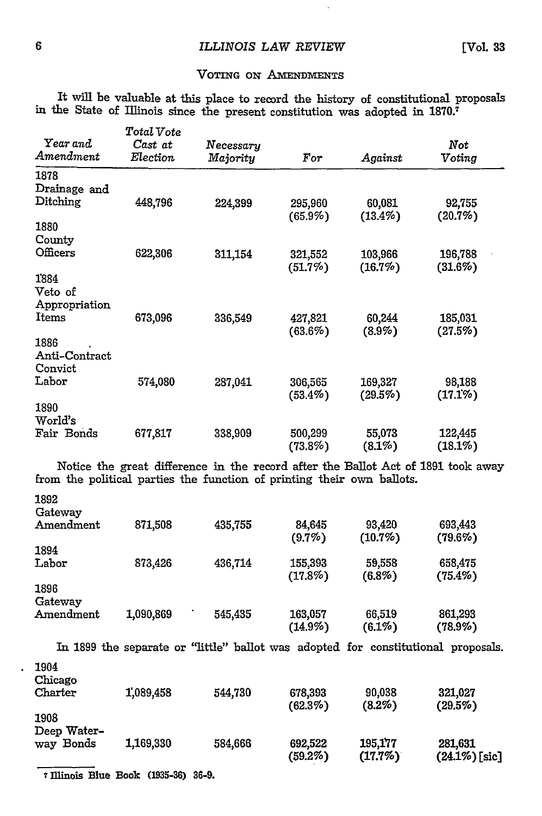$\overline{\phantom{a}}$ 

#### VOTING **oN AMENDMENTS**

It will be valuable at this place to record the history of constitutional proposals in the State of Illinois since the present constitution was adopted in 1870.<sup>7</sup>

|                          | Total Vote       |                                                                        |                       |                         |                                                                                   |
|--------------------------|------------------|------------------------------------------------------------------------|-----------------------|-------------------------|-----------------------------------------------------------------------------------|
| Year and                 | Cast at          | Necessary                                                              |                       |                         | Not                                                                               |
| Amendment                | ${\it Electron}$ | Majority                                                               | For                   | $\boldsymbol{A}$ gainst | Voting                                                                            |
| 1878                     |                  |                                                                        |                       |                         |                                                                                   |
| Drainage and             |                  |                                                                        |                       |                         |                                                                                   |
| $\rm{Ditching}$          | 448,796          | 224,399                                                                | 295,960               | 60,081                  | 92,755                                                                            |
|                          |                  |                                                                        | $(65.9\%)$            | $(13.4\%)$              | (20.7%)                                                                           |
| 1880<br>County           |                  |                                                                        |                       |                         |                                                                                   |
| Officers                 | 622,306          | 311,154                                                                |                       | 103,966                 | 196,788                                                                           |
|                          |                  |                                                                        | 321,552<br>(51.7%)    | (16.7%)                 | $(31.6\%)$                                                                        |
| 1884                     |                  |                                                                        |                       |                         |                                                                                   |
| Veto of                  |                  |                                                                        |                       |                         |                                                                                   |
| Appropriation            |                  |                                                                        |                       |                         |                                                                                   |
| Items                    | 673,096          | 336,549                                                                | 427,821               | 60,244                  | 185,031                                                                           |
|                          |                  |                                                                        | (63.6%)               | $(8.9\%)$               | (27.5%)                                                                           |
| 1886                     |                  |                                                                        |                       |                         |                                                                                   |
| Anti-Contract            |                  |                                                                        |                       |                         |                                                                                   |
| Convict<br>${\rm Labor}$ |                  |                                                                        |                       |                         |                                                                                   |
|                          | 574,080          | 287,041                                                                | 306,565<br>$(53.4\%)$ | 169,327<br>$(29.5\%)$   | 98,188<br>$(17.1\%)$                                                              |
| 1890                     |                  |                                                                        |                       |                         |                                                                                   |
| World's                  |                  |                                                                        |                       |                         |                                                                                   |
| Fair Bonds               | 677,817          | 338,909                                                                | 500,299               | 55,073                  | 122,445                                                                           |
|                          |                  |                                                                        | $(73.8\%)$            | $(8.1\%)$               | (18.1%)                                                                           |
|                          |                  |                                                                        |                       |                         | Notice the great difference in the record after the Ballot Act of 1891 took away  |
|                          |                  | from the political parties the function of printing their own ballots. |                       |                         |                                                                                   |
|                          |                  |                                                                        |                       |                         |                                                                                   |
| 1892                     |                  |                                                                        |                       |                         |                                                                                   |
| Gateway                  |                  |                                                                        |                       |                         |                                                                                   |
| Amendment                | 871,508          | 435,755                                                                | 84,645                | 93,420                  | 693,443                                                                           |
| 1894                     |                  |                                                                        | $(9.7\%)$             | (10.7%)                 | $(79.6\%)$                                                                        |
| Labor                    | 873,426          | 436,714                                                                | 155,393               | 59,558                  | 658,475                                                                           |
|                          |                  |                                                                        | $(17.8\%)$            | $(6.8\%)$               | $(75.4\%)$                                                                        |
| 1896                     |                  |                                                                        |                       |                         |                                                                                   |
| Gateway                  |                  |                                                                        |                       |                         |                                                                                   |
| Amendment                | 1,090,869        | 545,435                                                                | 163,057               | 66,519                  | 861,293                                                                           |
|                          |                  |                                                                        | $(14.9\%)$            | $(6.1\%)$               | $(78.9\%)$                                                                        |
|                          |                  |                                                                        |                       |                         | In 1899 the separate or "little" ballot was adopted for constitutional proposals. |
|                          |                  |                                                                        |                       |                         |                                                                                   |
| 1904                     |                  |                                                                        |                       |                         |                                                                                   |
| Chicago<br>Charter       | 1,089,458        | 544,730                                                                | 678,393               | 90,038                  | 321,027                                                                           |
|                          |                  |                                                                        | (62.3%)               | (8.2%)                  | $(29.5\%)$                                                                        |
| 1908                     |                  |                                                                        |                       |                         |                                                                                   |
| Deep Water-              |                  |                                                                        |                       |                         |                                                                                   |
| way Bonds                | 1,169,330        | 584,666                                                                | 692,522               | 195,177                 | 281,631                                                                           |
|                          |                  |                                                                        | (59.2%)               | (17.7%)                 | $(24.1\%)$ [sic]                                                                  |

7 Illinois Blue Book **(1935-36) 36-9.**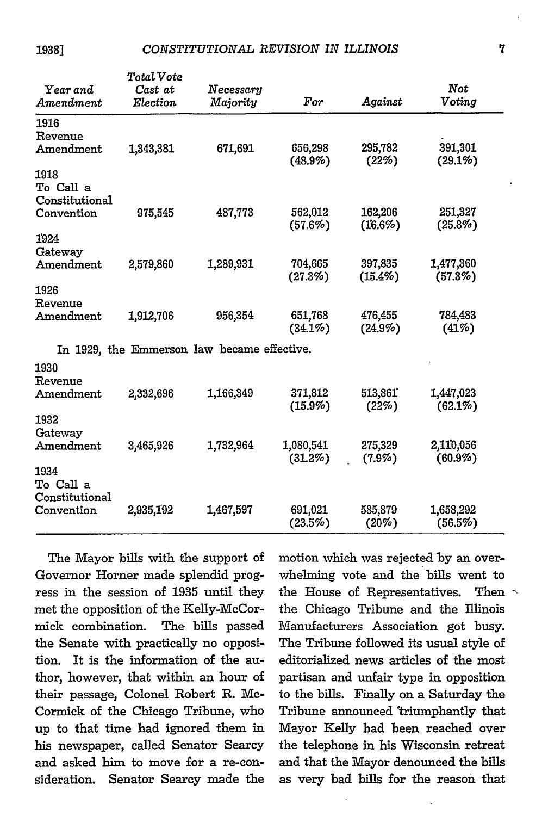**19381**

| Year and<br>Amendment               | Total Vote<br>Cast at<br>Election | Necessary<br>Majority                       | $\it For$               | Against               | Not<br>Voting           |
|-------------------------------------|-----------------------------------|---------------------------------------------|-------------------------|-----------------------|-------------------------|
| 1916<br>Revenue                     |                                   |                                             |                         |                       |                         |
| Amendment                           | 1,343,381                         | 671,691                                     | 656,298<br>$(48.9\%)$   | 295,782<br>(22%)      | 391,301<br>(29.1%)      |
| 1918<br>To Call a<br>Constitutional |                                   |                                             |                         |                       |                         |
| Convention                          | 975,545                           | 487,773                                     | 562,012<br>$(57.6\%)$   | 162,206<br>(16.6%)    | 251.327<br>$(25.8\%)$   |
| 1924<br>Gateway                     |                                   |                                             |                         |                       |                         |
| Amendment                           | 2,579,860                         | 1,289,931                                   | 704,665<br>(27.3%)      | 397,835<br>$(15.4\%)$ | 1,477,360<br>(57.3%)    |
| 1926<br>Revenue                     |                                   |                                             |                         |                       |                         |
| Amendment                           | 1,912,706                         | 956,354                                     | 651,768<br>$(34.1\%)$   | 476,455<br>$(24.9\%)$ | 784.483<br>(41%)        |
|                                     |                                   | In 1929, the Emmerson law became effective. |                         |                       |                         |
| 1930<br>Revenue                     |                                   |                                             |                         |                       |                         |
| Amendment                           | 2,332,696                         | 1,166,349                                   | 371,812<br>$(15.9\%)$   | 513,861<br>(22%)      | 1,447,023<br>$(62.1\%)$ |
| 1932<br>Gateway                     |                                   |                                             |                         |                       |                         |
| Amendment                           | 3,465,926                         | 1,732,964                                   | 1,080,541<br>$(31.2\%)$ | 275,329<br>$(7.9\%)$  | 2,110,056<br>$(60.9\%)$ |
| 1934<br>To Call a<br>Constitutional |                                   |                                             |                         |                       |                         |
| Convention                          | 2,935,192                         | 1,467,597                                   | 691,021<br>$(23.5\%)$   | 585,879<br>$(20\%)$   | 1,658,292<br>(56.5%)    |

The Mayor bills with the support of Governor Homer made splendid progress in the session of **1935** until they met the opposition of the Kelly-McCormick combination. The bills passed the Senate with practically no opposition. It is the information of the author, however, that within an hour of their passage, Colonel Robert R. Mc-Cormick of the Chicago Tribune, who up to that time had ignored them in his newspaper, called Senator Searcy and asked him to move for a re-consideration. Senator Searcy made the motion which was rejected by an overwhelming vote and the bills went to the House of Representatives. Then the Chicago Tribune and the Illinois Manufacturers Association got busy. The Tribune followed its usual style of editorialized news articles of the most partisan and unfair type in opposition to the bills. Finally on a Saturday the Tribune announced 'triumphantly that Mayor Kelly had been reached over the telephone in his Wisconsin retreat and that the Mayor denounced the bills as very bad bills for the reason that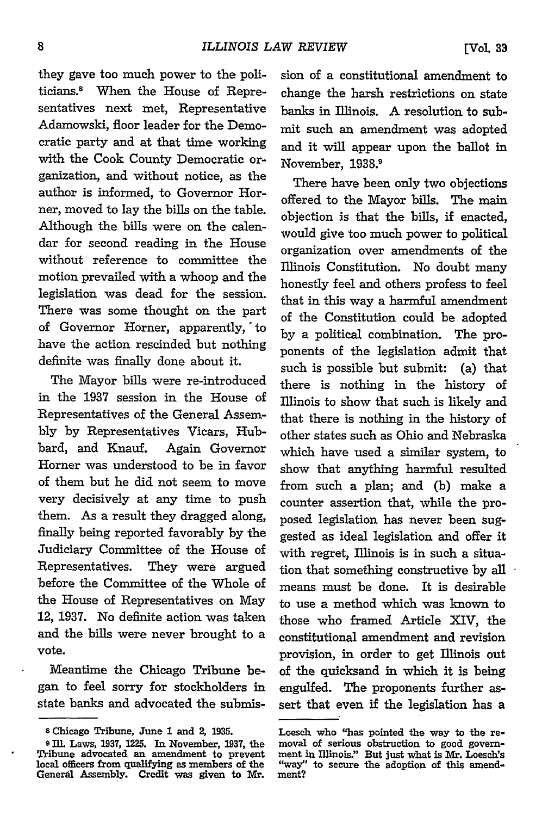they gave too much power to the politicians.8 When the House of Representatives next met, Representative Adamowski, floor leader for the Democratic party and at that time working with the Cook County Democratic organization, and without notice, as the author is informed, to Governor Horner, moved to lay the bills on the table. Although the bills were on the calendar for second reading in the House without reference to committee the motion prevailed with a whoop and the legislation was dead for the session. There was some thought on the part of Governor Homer, apparently, to have the action rescinded but nothing definite was finally done about it.

The Mayor bills were re-introduced in the 1937 session in the House of Representatives of the General Assembly by Representatives Vicars, Hubbard, and Knauf. Again Governor Homer was understood to be in favor of them but he did not seem to move very decisively at any time to push them. As a result they dragged along, finally being reported favorably by the Judiciary Committee of the House of Representatives. They were argued before the Committee of the Whole of the House of Representatives on May 12, 1937. No definite action was taken and the bills were never brought to a vote.

Meantime the Chicago Tribune began to feel sorry for stockholders in state banks and advocated the submission of a constitutional amendment to change the harsh restrictions on state banks in Illinois. A resolution to submit such an amendment was adopted and it will appear upon the ballot in November, 1938.'

There have been only two objections offered to the Mayor bills. The main objection is that the bills, if enacted, would give too much power to political organization over amendments of the Illinois Constitution. No doubt many honestly feel and others profess to feel that in this way a harmful amendment of the Constitution could be adopted by a political combination. The proponents of the legislation admit that such is possible but submit: (a) that there is nothing in the history of Illinois to show that such is likely and that there is nothing in the history of other states such as Ohio and Nebraska which have used a similar system, to show that anything harmful resulted from such a plan; and (b) make a counter assertion that, while the proposed legislation has never been suggested as ideal legislation and offer it with regret, Illinois is in such a situation that something constructive by all  $\cdot$ means must be done. It is desirable to use a method which was known to those who framed Article XIV, the constitutional amendment and revision provision, in order to get Illinois out of the quicksand in which it is being engulfed. The proponents further assert that even if the legislation has a

**<sup>8</sup> Chicago** Tribune, **June 1 and 2, 1935.**

**<sup>9</sup>** Ill. Laws, **1937, 1225. In** November, **1937, the Tribune** advocated **an amendment to** prevent **local officers** from **qualifying as members** of **the General Assembly. Credit was given to** Mr.

**Loesch** who **"has** pointed **the** way **to the re-** moval **of serious** obstruction to **good** govern**ment in Illinois:' But just** what **is Mr. Loesch's "way" to secure the** adoption **of** this amendment?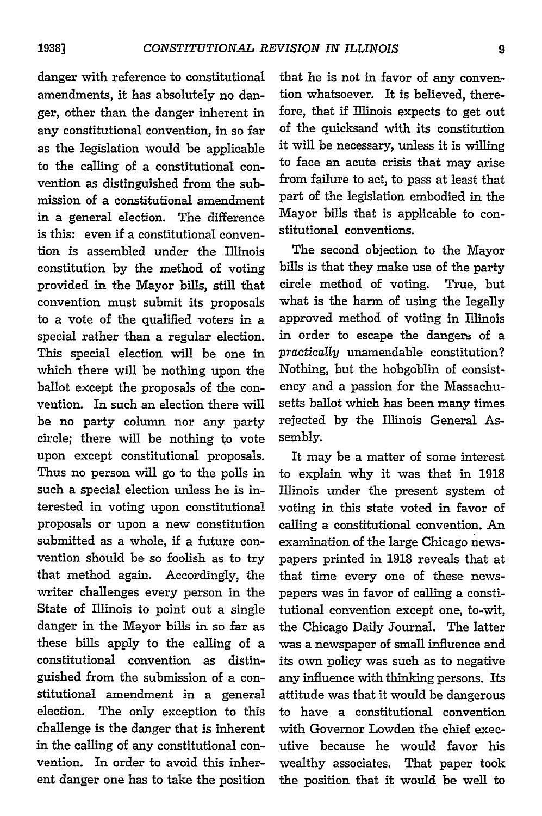danger with reference to constitutional amendments, it has absolutely no danger, other than the danger inherent in any constitutional convention, in so far as the legislation would be applicable to the calling of a constitutional convention as distinguished from the submission of a constitutional amendment in a general election. The difference is this: even if a constitutional convention is assembled under the Illinois constitution by the method of voting provided in the Mayor bills, still that convention must submit its proposals to a vote of the qualified voters in a special rather than a regular election. This special election will be one in which there will be nothing upon the ballot except the proposals of the convention. In such an election there will be no party column nor any party circle; there will be nothing to vote upon except constitutional proposals. Thus no person will go to the polls in such a special election unless he is interested in voting upon constitutional proposals or upon a new constitution submitted as a whole, if a future convention should be so foolish as to try that method again. Accordingly, the writer challenges every person in the State of Illinois to point out a single danger in the Mayor bills in so far as these bills apply to the calling of a constitutional convention as distinguished from the submission of a constitutional amendment in a general election. The only exception to this challenge is the danger that is inherent in the calling of any constitutional convention. In order to avoid this inherent danger one has to take the position

that he is not in favor of any convention whatsoever. It is believed, therefore, that if Illinois expects to get out of the quicksand with its constitution it will be necessary, unless it is willing to face an acute crisis that may arise from failure to act, to pass at least that part of the legislation embodied in the Mayor bills that is applicable to constitutional conventions.

The second objection to the Mayor bills is that they make use of the party circle method of voting. True, but what is the harm of using the legally approved method of voting in Illinois in order to escape the dangers of a *practically* unamendable constitution? Nothing, but the hobgoblin of consistency and a passion for the Massachusetts ballot which has been many times rejected by the Illinois General Assembly.

It may be a matter of some interest to explain why it was that in 1918 Illinois under the present system of voting in this state voted in favor of calling a constitutional convention. An examination of the large Chicago newspapers printed in 1918 reveals that at that time every one of these newspapers was in favor of calling a constitutional convention except one, to-wit, the Chicago Daily Journal. The latter was a newspaper of small influence and its own policy was such as to negative any influence with thinking persons. Its attitude was that it would be dangerous to have a constitutional convention with Governor Lowden the chief executive because he would favor his wealthy associates. That paper took the position that it would be well to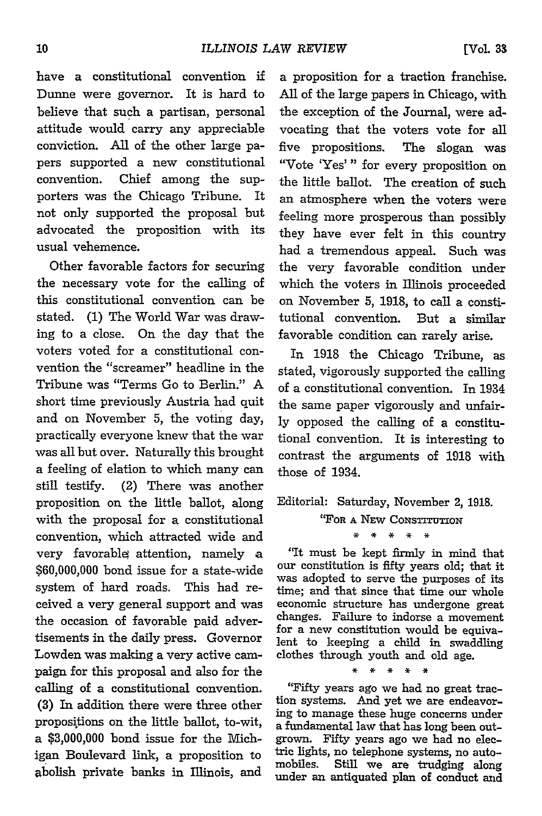have a constitutional convention if Dunne were governor. It is hard to believe that such a partisan, personal attitude would carry any appreciable conviction. All of the other large papers supported a new constitutional convention. Chief among the supporters was the Chicago Tribune. It not only supported the proposal but advocated the proposition with its

Other favorable factors for securing the necessary vote for the calling of this constitutional convention can be stated. (1) The World War was drawing to a close. On the day that the voters voted for a constitutional convention the "screamer" headline in the Tribune was "Terms Go to Berlin." A short time previously Austria had quit and on November 5, the voting day, practically everyone knew that the war was all but over. Naturally this brought a feeling of elation to which many can still testify. (2) There was another proposition on the little ballot, along with the proposal for a constitutional convention, which attracted wide and very favorable attention, namely a \$60,000,000 bond issue for a state-wide system of hard roads. This had received a very general support and was the occasion of favorable paid advertisements in the daily press. Governor Lowden was making a very active campaign for this proposal and also for the calling of a constitutional convention. (3) In addition there were three other propositions on the little ballot, to-wit, a \$3,000,000 bond issue for the Michigan Boulevard link, a proposition to abolish private banks in Illinois, and

a proposition for a traction franchise. All of the large papers in Chicago, with the exception of the Journal, were advocating that the voters vote for all five propositions. The slogan was "Vote 'Yes'" for every proposition on the little ballot. The creation of such an atmosphere when the voters were feeling more prosperous than possibly they have ever felt in this country had a tremendous appeal. Such was the very favorable condition under which the voters in Illinois proceeded on November 5, **1918,** to call a constitutional convention. But a similar favorable condition can rarely arise.

In 1918 the Chicago Tribune, as stated, vigorously supported the calling of a constitutional convention. In 1934 the same paper vigorously and unfairly opposed the calling of a constitutional convention. It is interesting to contrast the arguments of 1918 with those of 1934.

Editorial: Saturday, November 2, 1918.

**"FOR A** NEW **CoNSTITUTIoN**

 $\mathbf{x}$  $*$   $*$ 

'It must be kept firmly in mind that our constitution is fifty years old; that it was adopted to serve the purposes of its time; and that since that time our whole economic structure has undergone great changes. Failure to indorse a movement for a new constitution would be equivalent to keeping a child in swaddling clothes through youth and old age.

\* \* \* \* \*

"Fifty years ago we had no great traction systems. And yet we are endeavoring to manage these huge concerns under a fundamental law that has long been outgrown. Fifty years ago we had no electric lights, no telephone systems, no automobiles. Still we are trudging along under an antiquated plan of conduct and

usual vehemence.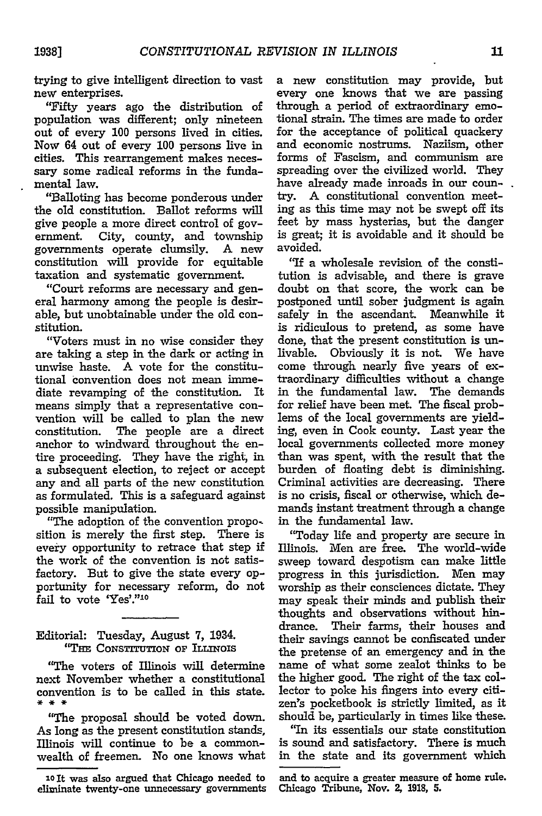trying to give intelligent direction to vast new enterprises.

"Fifty years ago the distribution of population was different; only nineteen out of every 100 persons lived in cities. Now 64 out of every 100 persons live in cities. This rearrangement makes necessary some radical reforms in the fundamental law.

"Balloting has become ponderous under the old constitution. Ballot reforms will give people a more direct control of government. City, county, and township governments operate clumsily. A new constitution will provide for equitable taxation and systematic government.

"Court reforms are necessary and general harmony among the people is desirable, but unobtainable under the old constitution.

"Voters must in no wise consider they are taking a step in the dark or acting in unwise haste. A vote for the constitutional convention does not mean immediate revamping of the constitution. It means simply that a representative convention will be called to plan the new constitution. The people are a direct anchor to windward throughout the entire proceeding. They have the right, in a subsequent election, to reject or accept any and all parts of the new constitution as formulated. This is a safeguard against possible manipulation.

"The adoption of the convention proposition is merely the first step. There is every opportunity to retrace that step if the work of the convention is not satisfactory. But to give the state every opportunity for necessary reform, do not fail to vote 'Yes'."10

Editorial: Tuesday, August 7, 1934. **"THE CoNsTrmrroN** or **ILLINOIs**

"The voters of Illinois will determine next November whether a constitutional convention is to be called in this state.<br>\* \* \*

"The proposal should be voted down. As long as the present constitution stands, Illinois will continue to be a commonwealth of freemen. No one knows what a new constitution may provide, but every one knows that we are passing through a period of extraordinary emotional strain. The times are made to order for the acceptance of political quackery and economic nostrums. Naziism, other forms of Fascism, and communism are spreading over the civilized world. They have already made inroads in our coun-. try. A constitutional convention meeting as this time may not be swept off its feet by mass hysterias, but the danger is great; it is avoidable and it should be avoided.

"If a wholesale revision of the constitution is advisable, and there is grave doubt on that score, the work can be postponed until sober judgment is again safely in the ascendant. Meanwhile it is ridiculous to pretend, as some have done, that the present constitution is unlivable. Obviously it is not. We have come through nearly five years of extraordinary difficulties without a change in the fundamental law. The demands for relief have been met. The fiscal problems of the local governments are yielding, even in Cook county. Last year the local governments collected more money than was spent, with the result that the burden of floating debt is diminishing. Criminal activities are decreasing. There is no crisis, fiscal or otherwise, which demands instant treatment through a change in the fundamental law.

"Today life and property are secure in Illinois. Men are free. The world-wide sweep toward despotism can make little progress in this jurisdiction. Men may worship as their consciences dictate. They may speak their minds and publish their thoughts and observations without hindrance. Their farms, their houses and their savings cannot be confiscated under the pretense of an emergency and in the name of what some zealot thinks to be the higher good. The right of the tax collector to poke his fingers into every citizen's pocketbook is strictly limited, as it should be, particularly in times like these.

"In its essentials our state constitution is sound and satisfactory. There is much in the state and its government which

**xo It** was also argued that Chicago needed to eliminate twenty-one unnecessary governments

and to acquire a greater measure of home rule. Chicago Tribune, Nov. **2, 1918, 5.**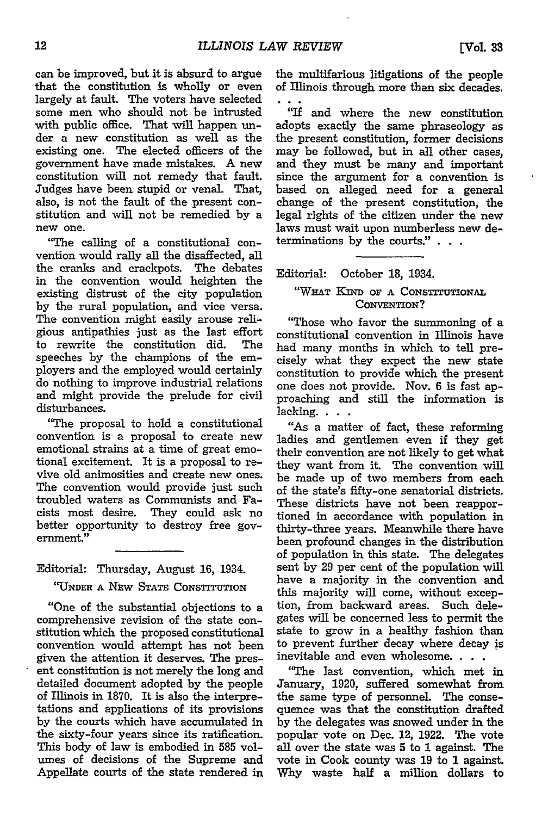can be improved, but it is absurd to argue that the constitution is wholly or even largely at fault. The voters have selected some men who should not be intrusted with public office. That will happen under a new constitution as well as the existing one. The elected officers of the government have made mistakes. A new constitution will not remedy that fault. Judges have been stupid or venal. That, also, is not the fault of the present constitution and will not be remedied **by** a new one.

"The calling of a constitutional convention would rally all the disaffected, all the cranks and crackpots. The debates in the convention would heighten the existing distrust of the city population **by** the rural population, and vice versa. The convention might easily arouse religious antipathies just as the last effort to rewrite the constitution did. The speeches **by** the champions of the employers and the employed would certainly do nothing to improve industrial relations and might provide the prelude for civil disturbances.

"The proposal to hold a constitutional convention is a proposal to create new emotional strains at a time of great emotional excitement. It is a proposal to revive old animosities and create new ones. The convention would provide just such troubled waters as Communists and Facists most desire. They could ask no better opportunity to destroy free government."

Editorial: Thursday, August 16, 1934.

**"UNDER A** NEw **STATE** CONSTITUTION

"One of the substantial objections to a comprehensive revision of the state constitution which the proposed constitutional convention would attempt has not been given the attention it deserves. The present constitution is not merely the long and detailed document adopted by the people of Illinois in 1870. It is also the interpretations and applications of its provisions by the courts which have accumulated in the sixty-four years since its ratification. This body of law is embodied in **585** volumes of decisions of the Supreme and Appellate courts of the state rendered in the multifarious litigations of the people of Illinois through more than six decades.

"If and where the new constitution adopts exactly the same phraseology as the present constitution, former decisions may be followed, but in all other cases, and they must be many and important since the argument for a convention is based on alleged need for a general change of the present constitution, the legal rights of the citizen under the new laws must wait upon numberless new determinations by the courts."

Editorial: October **18,** 1934.

#### **"WHAT** KIND **OF A** CONSTITUTIONAL CONVENTION?

"Those who favor the summoning of a constitutional convention in Illinois have had many months in which to tell precisely what they expect the new state constitution to provide which the present one does not provide. Nov. 6 is fast approaching and still the information is lacking. . . .

"As a matter of fact, these reforming ladies and gentlemen even if they get their convention are not likely to get what they want from it. The convention will be made up of two members from each of the state's fifty-one senatorial districts. These districts have not been reapportioned in accordance with population in thirty-three years. Meanwhile there have been profound changes in the distribution of population in this state. The delegates sent by 29 per cent of the population will have a majority in the convention and this majority will come, without exception, from backward areas. Such delegates will be concerned less to permit the state to grow in a healthy fashion than to prevent further decay where decay is inevitable and even wholesome. . . .

"The last convention, which met in January, 1920, suffered somewhat from the same type of personnel. The consequence was that the constitution drafted by the delegates was snowed under in the popular vote on Dec. 12, 1922. The vote all over the state was 5 to **1** against. The vote in Cook county was **19** to **1** against. Why waste half a million dollars to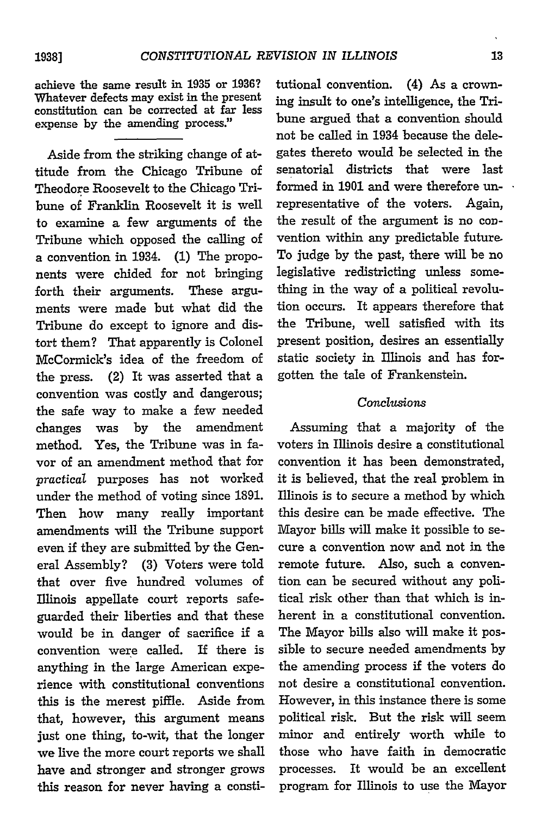achieve the same result in **1935** or 1936? Whatever defects may exist in the present constitution can be corrected at far less expense by the amending process."

Aside from the striking change of attitude from the Chicago Tribune of Theodore Roosevelt to the Chicago Tribune of Franklin Roosevelt it is well to examine a few arguments of the Tribune which opposed the calling of a convention in 1934. **(1)** The proponents were chided for not bringing forth their arguments. These arguments were made but what did the Tribune do except to ignore and distort them? That apparently is Colonel McCormick's idea of the freedom of the press. (2) It was asserted that a convention was costly and dangerous; the safe way to make a few needed changes was by the amendment method. Yes, the Tribune was in favor of an amendment method that for *practical* purposes has not worked under the method of voting since **1891.** Then how many really important amendments will the Tribune support even if they are submitted by the General Assembly? (3) Voters were told that over five hundred volumes of Illinois appellate court reports safeguarded their liberties and that these would be in danger of sacrifice if a convention were called. If there is anything in the large American experience with constitutional conventions this is the merest piffle. Aside from that, however, this argument means just one thing, to-wit, that the longer we live the more court reports we shall have and stronger and stronger grows this reason for never having a consti-

tutional convention. (4) As a crowning insult to one's intelligence, the Tribune argued that a convention should not be called in 1934 because the delegates thereto would be selected in the senatorial districts that were last formed in 1901 and were therefore unrepresentative of the voters. Again, the result of the argument is no convention within any predictable future. To judge by the past, there will be no legislative redistricting unless something in the way of a political revolution occurs. It appears therefore that the Tribune, well satisfied with its present position, desires an essentially static society in Illinois and has forgotten the tale of Frankenstein.

### *Conclusions*

Assuming that a majority of the voters in Illinois desire a constitutional convention it has been demonstrated, it is believed, that the real problem in Illinois is to secure a method by which this desire can be made effective. The Mayor bills will make it possible to secure a convention now and not in the remote future. Also, such a convention can be secured without any political risk other than that which is inherent in a constitutional convention. The Mayor bills also will make it possible to secure needed amendments by the amending process if the voters do not desire a constitutional convention. However, in this instance there is some political risk. But the risk will seem minor and entirely worth while to those who have faith in democratic processes. It would be an excellent program for Illinois to use the Mayor